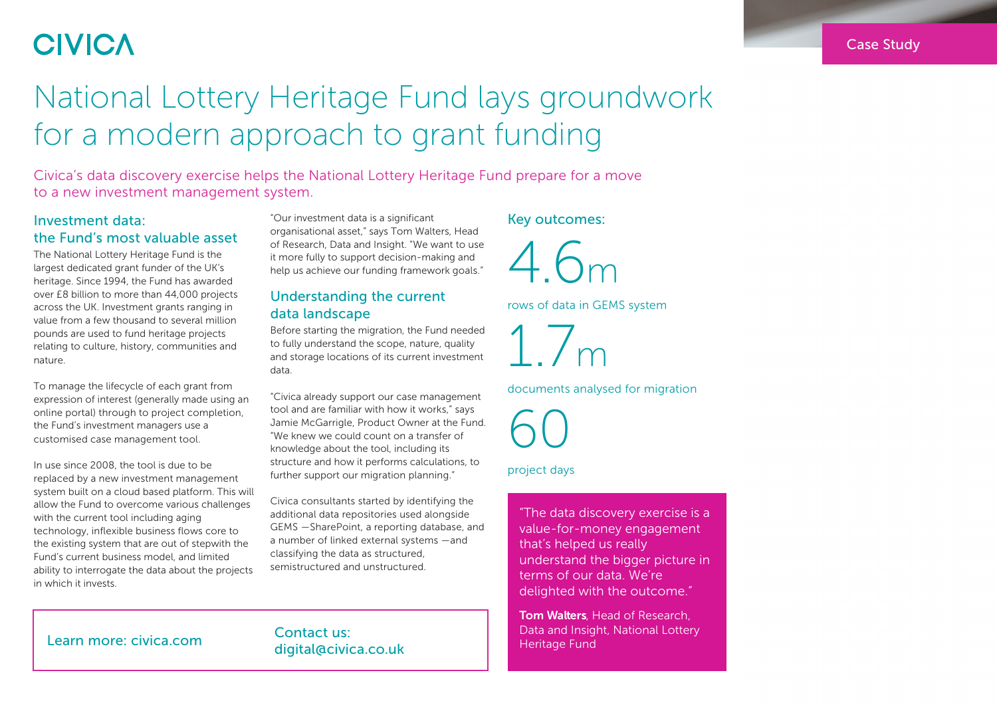## **CIVICA**

# National Lottery Heritage Fund lays groundwork for a modern approach to grant funding

Civica's data discovery exercise helps the National Lottery Heritage Fund prepare for a move to a new investment management system.

### Investment data: the Fund's most valuable asset

The National Lottery Heritage Fund is the largest dedicated grant funder of the UK's heritage. Since 1994, the Fund has awarded over £8 billion to more than 44,000 projects across the UK. Investment grants ranging in value from a few thousand to several million pounds are used to fund heritage projects relating to culture, history, communities and nature.

To manage the lifecycle of each grant from expression of interest (generally made using an online portal) through to project completion, the Fund's investment managers use a customised case management tool.

In use since 2008, the tool is due to be replaced by a new investment management system built on a cloud based platform. This will allow the Fund to overcome various challenges with the current tool including aging technology, inflexible business flows core to the existing system that are out of stepwith the Fund's current business model, and limited ability to interrogate the data about the projects in which it invests.

"Our investment data is a significant organisational asset," says Tom Walters, Head of Research, Data and Insight. "We want to use it more fully to support decision-making and help us achieve our funding framework goals."

### Understanding the current data landscape

Before starting the migration, the Fund needed to fully understand the scope, nature, quality and storage locations of its current investment data.

"Civica already support our case management tool and are familiar with how it works," says Jamie McGarrigle, Product Owner at the Fund. "We knew we could count on a transfer of knowledge about the tool, including its structure and how it performs calculations, to further support our migration planning."

Civica consultants started by identifying the additional data repositories used alongside GEMS —SharePoint, a reporting database, and a number of linked external systems —and classifying the data as structured, semistructured and unstructured.

### Key outcomes:

4.6m

rows of data in GEMS system

 $1^7$ 

documents analysed for migration

60

### project days

"The data discovery exercise is a value-for-money engagement that's helped us really understand the bigger picture in terms of our data. We're delighted with the outcome."

Tom Walters, Head of Research, Data and Insight, National Lottery Heritage Fund

Learn more: civica.com Contact us:

## digital@civica.co.uk